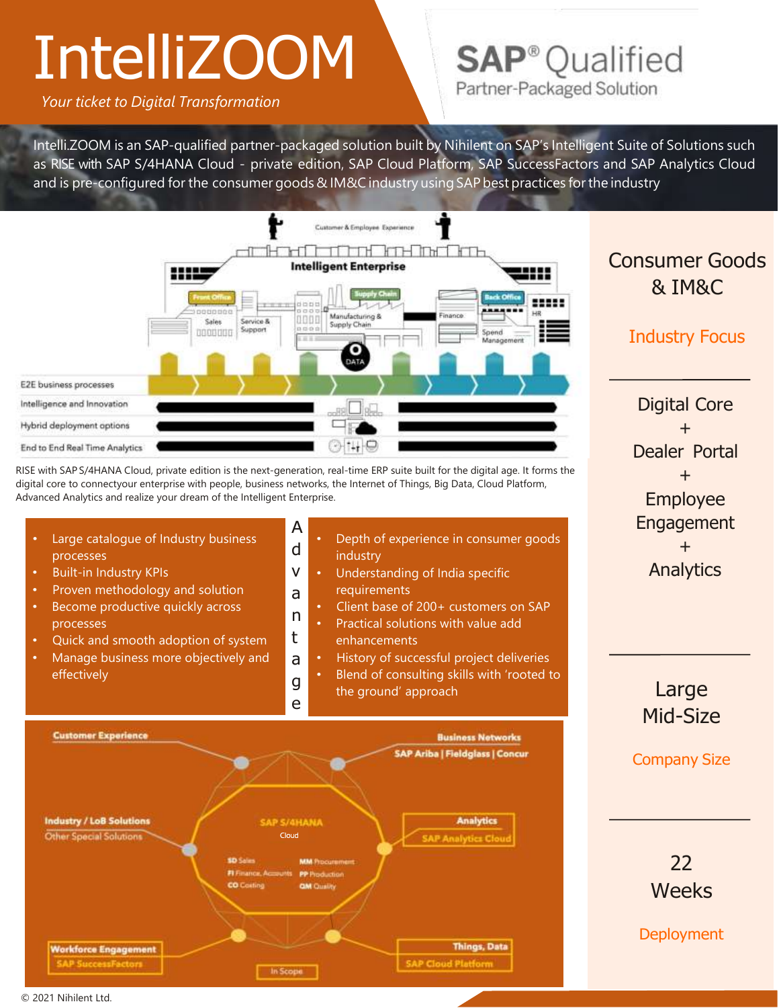## **IntelliZOOM**

*Your ticket to Digital Transformation*

### **SAP**<sup>®</sup> Qualified Partner-Packaged Solution

Intelli.ZOOM is an SAP-qualified partner-packaged solution built by Nihilent on SAP's Intelligent Suite of Solutions such as RISE with SAP S/4HANA Cloud - private edition, SAP Cloud Platform, SAP SuccessFactors and SAP Analytics Cloud and is pre-configured for the consumer goods & IM&C industry using SAP best practices for the industry



RISE with SAP S/4HANA Cloud, private edition is the next-generation, real-time ERP suite built for the digital age. It forms the digital core to connectyour enterprise with people, business networks, the Internet of Things, Big Data, Cloud Platform, Advanced Analytics and realize your dream of the Intelligent Enterprise.

A Large catalogue of Industry business • Depth of experience in consumer goods d processes industry • Built-in Industry KPIs v Understanding of India specific Proven methodology and solution requirements a Become productive quickly across • Client base of 200+ customers on SAP n • Practical solutions with value add processes t • Quick and smooth adoption of system enhancements • Manage business more objectively and **History of successful project deliveries** a • Blend of consulting skills with 'rooted to effectivelyg the ground' approach e **Customer Experience Business Networks SAP Ariba | Fieldglass | Concur** 

Consumer Goods & IM&C

### Industry Focus

Digital Core + Dealer Portal + Employee Engagement + Analytics

> Large Mid-Size

Company Size

22 **Weeks** 

**Deployment** 



© 2021 Nihilent Ltd.